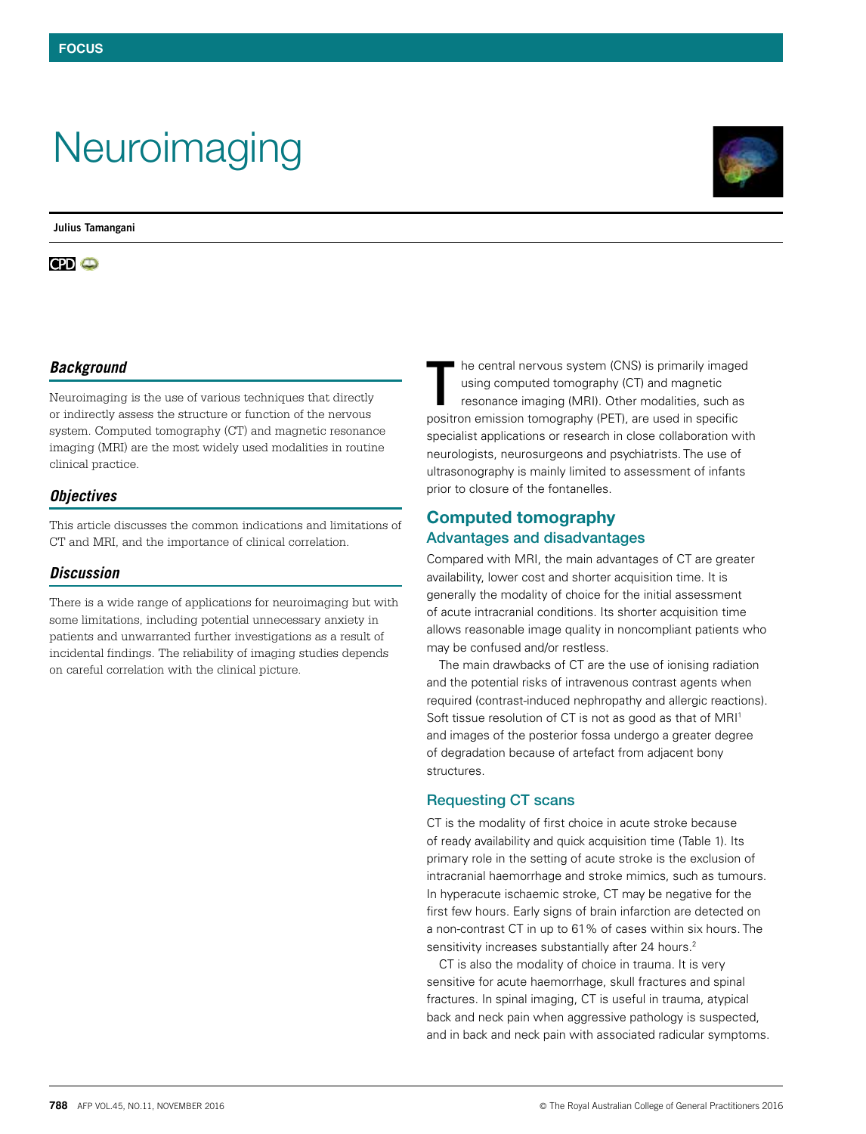# **Neuroimaging**

**Julius Tamangani**

# *Background*

Neuroimaging is the use of various techniques that directly or indirectly assess the structure or function of the nervous system. Computed tomography (CT) and magnetic resonance imaging (MRI) are the most widely used modalities in routine clinical practice.

# *Objectives*

This article discusses the common indications and limitations of CT and MRI, and the importance of clinical correlation.

## *Discussion*

There is a wide range of applications for neuroimaging but with some limitations, including potential unnecessary anxiety in patients and unwarranted further investigations as a result of incidental findings. The reliability of imaging studies depends on careful correlation with the clinical picture.

he central nervous system (CNS) is primarily imaged using computed tomography (CT) and magnetic resonance imaging (MRI). Other modalities, such as positron emission tomography (PET), are used in specific specialist applications or research in close collaboration with neurologists, neurosurgeons and psychiatrists. The use of ultrasonography is mainly limited to assessment of infants prior to closure of the fontanelles. T

# Computed tomography Advantages and disadvantages

Compared with MRI, the main advantages of CT are greater availability, lower cost and shorter acquisition time. It is generally the modality of choice for the initial assessment of acute intracranial conditions. Its shorter acquisition time allows reasonable image quality in noncompliant patients who may be confused and/or restless.

The main drawbacks of CT are the use of ionising radiation and the potential risks of intravenous contrast agents when required (contrast-induced nephropathy and allergic reactions). Soft tissue resolution of CT is not as good as that of MRI<sup>1</sup> and images of the posterior fossa undergo a greater degree of degradation because of artefact from adjacent bony structures.

# Requesting CT scans

CT is the modality of first choice in acute stroke because of ready availability and quick acquisition time (Table 1). Its primary role in the setting of acute stroke is the exclusion of intracranial haemorrhage and stroke mimics, such as tumours. In hyperacute ischaemic stroke, CT may be negative for the first few hours. Early signs of brain infarction are detected on a non-contrast CT in up to 61% of cases within six hours. The sensitivity increases substantially after 24 hours.<sup>2</sup>

CT is also the modality of choice in trauma. It is very sensitive for acute haemorrhage, skull fractures and spinal fractures. In spinal imaging, CT is useful in trauma, atypical back and neck pain when aggressive pathology is suspected, and in back and neck pain with associated radicular symptoms.

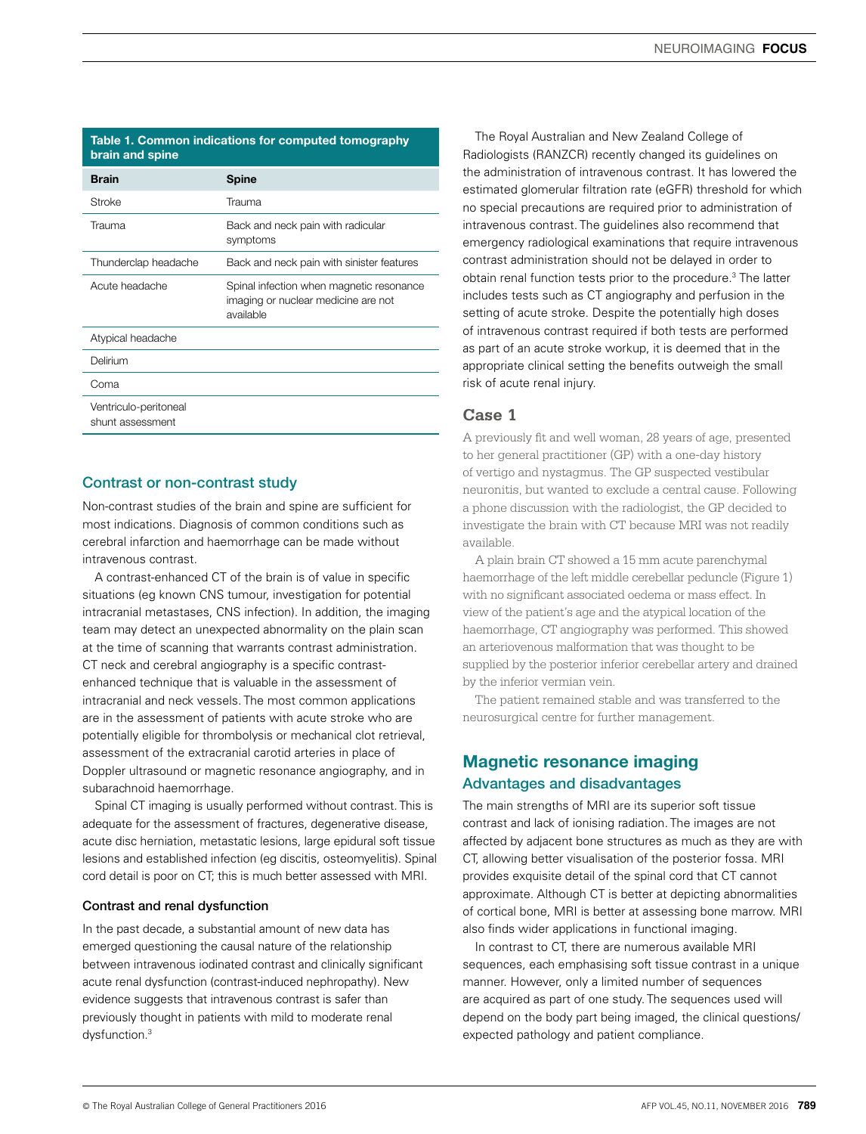#### Table 1. Common indications for computed tomography brain and spine

| <b>Brain</b>                              | <b>Spine</b>                                                                                 |
|-------------------------------------------|----------------------------------------------------------------------------------------------|
| Stroke                                    | Trauma                                                                                       |
| Trauma                                    | Back and neck pain with radicular<br>symptoms                                                |
| Thunderclap headache                      | Back and neck pain with sinister features                                                    |
| Acute headache                            | Spinal infection when magnetic resonance<br>imaging or nuclear medicine are not<br>available |
| Atypical headache                         |                                                                                              |
| Delirium                                  |                                                                                              |
| Coma                                      |                                                                                              |
| Ventriculo-peritoneal<br>shunt assessment |                                                                                              |

### Contrast or non-contrast study

Non-contrast studies of the brain and spine are sufficient for most indications. Diagnosis of common conditions such as cerebral infarction and haemorrhage can be made without intravenous contrast.

A contrast-enhanced CT of the brain is of value in specific situations (eg known CNS tumour, investigation for potential intracranial metastases, CNS infection). In addition, the imaging team may detect an unexpected abnormality on the plain scan at the time of scanning that warrants contrast administration. CT neck and cerebral angiography is a specific contrastenhanced technique that is valuable in the assessment of intracranial and neck vessels. The most common applications are in the assessment of patients with acute stroke who are potentially eligible for thrombolysis or mechanical clot retrieval, assessment of the extracranial carotid arteries in place of Doppler ultrasound or magnetic resonance angiography, and in subarachnoid haemorrhage.

Spinal CT imaging is usually performed without contrast. This is adequate for the assessment of fractures, degenerative disease, acute disc herniation, metastatic lesions, large epidural soft tissue lesions and established infection (eg discitis, osteomyelitis). Spinal cord detail is poor on CT; this is much better assessed with MRI.

#### Contrast and renal dysfunction

In the past decade, a substantial amount of new data has emerged questioning the causal nature of the relationship between intravenous iodinated contrast and clinically significant acute renal dysfunction (contrast-induced nephropathy). New evidence suggests that intravenous contrast is safer than previously thought in patients with mild to moderate renal dysfunction.3

The Royal Australian and New Zealand College of Radiologists (RANZCR) recently changed its guidelines on the administration of intravenous contrast. It has lowered the estimated glomerular filtration rate (eGFR) threshold for which no special precautions are required prior to administration of intravenous contrast. The guidelines also recommend that emergency radiological examinations that require intravenous contrast administration should not be delayed in order to obtain renal function tests prior to the procedure.3 The latter includes tests such as CT angiography and perfusion in the setting of acute stroke. Despite the potentially high doses of intravenous contrast required if both tests are performed as part of an acute stroke workup, it is deemed that in the appropriate clinical setting the benefits outweigh the small risk of acute renal injury.

# **Case 1**

A previously fit and well woman, 28 years of age, presented to her general practitioner (GP) with a one-day history of vertigo and nystagmus. The GP suspected vestibular neuronitis, but wanted to exclude a central cause. Following a phone discussion with the radiologist, the GP decided to investigate the brain with CT because MRI was not readily available.

A plain brain CT showed a 15 mm acute parenchymal haemorrhage of the left middle cerebellar peduncle (Figure 1) with no significant associated oedema or mass effect. In view of the patient's age and the atypical location of the haemorrhage, CT angiography was performed. This showed an arteriovenous malformation that was thought to be supplied by the posterior inferior cerebellar artery and drained by the inferior vermian vein.

The patient remained stable and was transferred to the neurosurgical centre for further management.

# Magnetic resonance imaging Advantages and disadvantages

The main strengths of MRI are its superior soft tissue contrast and lack of ionising radiation. The images are not affected by adjacent bone structures as much as they are with CT, allowing better visualisation of the posterior fossa. MRI provides exquisite detail of the spinal cord that CT cannot approximate. Although CT is better at depicting abnormalities of cortical bone, MRI is better at assessing bone marrow. MRI also finds wider applications in functional imaging.

In contrast to CT, there are numerous available MRI sequences, each emphasising soft tissue contrast in a unique manner. However, only a limited number of sequences are acquired as part of one study. The sequences used will depend on the body part being imaged, the clinical questions/ expected pathology and patient compliance.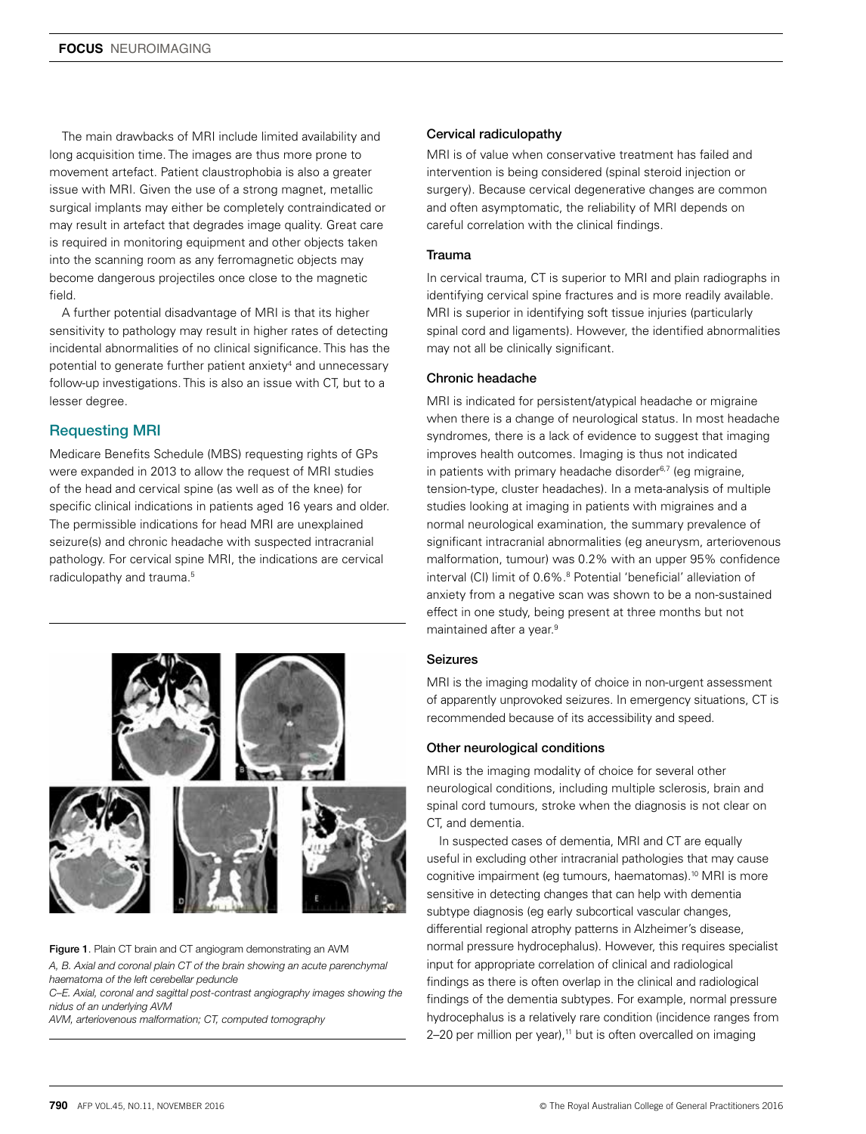The main drawbacks of MRI include limited availability and long acquisition time. The images are thus more prone to movement artefact. Patient claustrophobia is also a greater issue with MRI. Given the use of a strong magnet, metallic surgical implants may either be completely contraindicated or may result in artefact that degrades image quality. Great care is required in monitoring equipment and other objects taken into the scanning room as any ferromagnetic objects may become dangerous projectiles once close to the magnetic field.

A further potential disadvantage of MRI is that its higher sensitivity to pathology may result in higher rates of detecting incidental abnormalities of no clinical significance. This has the potential to generate further patient anxiety<sup>4</sup> and unnecessary follow-up investigations. This is also an issue with CT, but to a lesser degree.

# Requesting MRI

Medicare Benefits Schedule (MBS) requesting rights of GPs were expanded in 2013 to allow the request of MRI studies of the head and cervical spine (as well as of the knee) for specific clinical indications in patients aged 16 years and older. The permissible indications for head MRI are unexplained seizure(s) and chronic headache with suspected intracranial pathology. For cervical spine MRI, the indications are cervical radiculopathy and trauma.<sup>5</sup>



Figure 1. Plain CT brain and CT angiogram demonstrating an AVM *A, B. Axial and coronal plain CT of the brain showing an acute parenchymal haematoma of the left cerebellar peduncle*

*C–E. Axial, coronal and sagittal post-contrast angiography images showing the nidus of an underlying AVM*

*AVM, arteriovenous malformation; CT, computed tomography*

#### Cervical radiculopathy

MRI is of value when conservative treatment has failed and intervention is being considered (spinal steroid injection or surgery). Because cervical degenerative changes are common and often asymptomatic, the reliability of MRI depends on careful correlation with the clinical findings.

#### **Trauma**

In cervical trauma, CT is superior to MRI and plain radiographs in identifying cervical spine fractures and is more readily available. MRI is superior in identifying soft tissue injuries (particularly spinal cord and ligaments). However, the identified abnormalities may not all be clinically significant.

#### Chronic headache

MRI is indicated for persistent/atypical headache or migraine when there is a change of neurological status. In most headache syndromes, there is a lack of evidence to suggest that imaging improves health outcomes. Imaging is thus not indicated in patients with primary headache disorder $6,7$  (eq migraine, tension-type, cluster headaches). In a meta-analysis of multiple studies looking at imaging in patients with migraines and a normal neurological examination, the summary prevalence of significant intracranial abnormalities (eg aneurysm, arteriovenous malformation, tumour) was 0.2% with an upper 95% confidence interval (CI) limit of 0.6%.<sup>8</sup> Potential 'beneficial' alleviation of anxiety from a negative scan was shown to be a non-sustained effect in one study, being present at three months but not maintained after a year.<sup>9</sup>

#### Seizures

MRI is the imaging modality of choice in non-urgent assessment of apparently unprovoked seizures. In emergency situations, CT is recommended because of its accessibility and speed.

#### Other neurological conditions

MRI is the imaging modality of choice for several other neurological conditions, including multiple sclerosis, brain and spinal cord tumours, stroke when the diagnosis is not clear on CT, and dementia.

In suspected cases of dementia, MRI and CT are equally useful in excluding other intracranial pathologies that may cause cognitive impairment (eg tumours, haematomas).10 MRI is more sensitive in detecting changes that can help with dementia subtype diagnosis (eg early subcortical vascular changes, differential regional atrophy patterns in Alzheimer's disease, normal pressure hydrocephalus). However, this requires specialist input for appropriate correlation of clinical and radiological findings as there is often overlap in the clinical and radiological findings of the dementia subtypes. For example, normal pressure hydrocephalus is a relatively rare condition (incidence ranges from 2-20 per million per year),<sup>11</sup> but is often overcalled on imaging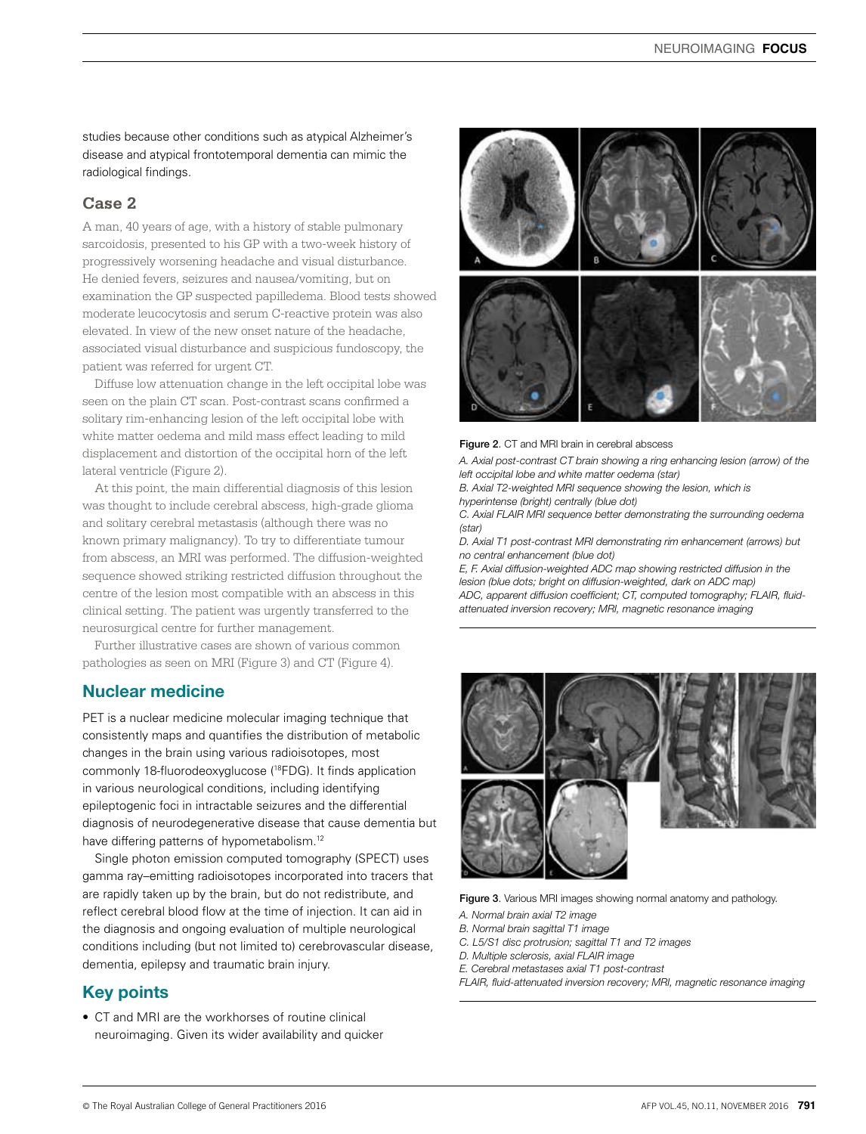studies because other conditions such as atypical Alzheimer's disease and atypical frontotemporal dementia can mimic the radiological findings.

# **Case 2**

A man, 40 years of age, with a history of stable pulmonary sarcoidosis, presented to his GP with a two-week history of progressively worsening headache and visual disturbance. He denied fevers, seizures and nausea/vomiting, but on examination the GP suspected papilledema. Blood tests showed moderate leucocytosis and serum C-reactive protein was also elevated. In view of the new onset nature of the headache, associated visual disturbance and suspicious fundoscopy, the patient was referred for urgent CT.

Diffuse low attenuation change in the left occipital lobe was seen on the plain CT scan. Post-contrast scans confirmed a solitary rim-enhancing lesion of the left occipital lobe with white matter oedema and mild mass effect leading to mild displacement and distortion of the occipital horn of the left lateral ventricle (Figure 2).

At this point, the main differential diagnosis of this lesion was thought to include cerebral abscess, high-grade glioma and solitary cerebral metastasis (although there was no known primary malignancy). To try to differentiate tumour from abscess, an MRI was performed. The diffusion-weighted sequence showed striking restricted diffusion throughout the centre of the lesion most compatible with an abscess in this clinical setting. The patient was urgently transferred to the neurosurgical centre for further management.

Further illustrative cases are shown of various common pathologies as seen on MRI (Figure 3) and CT (Figure 4).

# Nuclear medicine

PET is a nuclear medicine molecular imaging technique that consistently maps and quantifies the distribution of metabolic changes in the brain using various radioisotopes, most commonly 18-fluorodeoxyglucose (18FDG). It finds application in various neurological conditions, including identifying epileptogenic foci in intractable seizures and the differential diagnosis of neurodegenerative disease that cause dementia but have differing patterns of hypometabolism.<sup>12</sup>

Single photon emission computed tomography (SPECT) uses gamma ray–emitting radioisotopes incorporated into tracers that are rapidly taken up by the brain, but do not redistribute, and reflect cerebral blood flow at the time of injection. It can aid in the diagnosis and ongoing evaluation of multiple neurological conditions including (but not limited to) cerebrovascular disease, dementia, epilepsy and traumatic brain injury.

# Key points

• CT and MRI are the workhorses of routine clinical neuroimaging. Given its wider availability and quicker



Figure 2. CT and MRI brain in cerebral abscess

*A. Axial post-contrast CT brain showing a ring enhancing lesion (arrow) of the left occipital lobe and white matter oedema (star)*

*B. Axial T2-weighted MRI sequence showing the lesion, which is hyperintense (bright) centrally (blue dot)*

*C. Axial FLAIR MRI sequence better demonstrating the surrounding oedema (star)*

*D. Axial T1 post-contrast MRI demonstrating rim enhancement (arrows) but no central enhancement (blue dot)*

*E, F. Axial diffusion-weighted ADC map showing restricted diffusion in the lesion (blue dots; bright on diffusion-weighted, dark on ADC map) ADC, apparent diffusion coefficient; CT, computed tomography; FLAIR, fluidattenuated inversion recovery; MRI, magnetic resonance imaging*



Figure 3. Various MRI images showing normal anatomy and pathology.

- *A. Normal brain axial T2 image*
- *B. Normal brain sagittal T1 image*
- *C. L5/S1 disc protrusion; sagittal T1 and T2 images*
- *D. Multiple sclerosis, axial FLAIR image*
- *E. Cerebral metastases axial T1 post-contrast*
- *FLAIR, fluid-attenuated inversion recovery; MRI, magnetic resonance imaging*